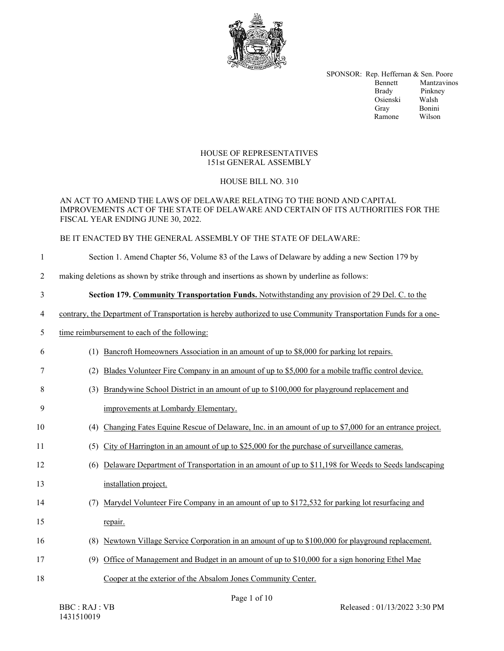

SPONSOR: Rep. Heffernan & Sen. Poore Bennett Mantzavinos Brady Pinkney<br>Osienski Walsh Osienski Walsh Gray Bonini Ramone Wilson

### HOUSE OF REPRESENTATIVES 151st GENERAL ASSEMBLY

## HOUSE BILL NO. 310

#### AN ACT TO AMEND THE LAWS OF DELAWARE RELATING TO THE BOND AND CAPITAL IMPROVEMENTS ACT OF THE STATE OF DELAWARE AND CERTAIN OF ITS AUTHORITIES FOR THE FISCAL YEAR ENDING JUNE 30, 2022.

#### BE IT ENACTED BY THE GENERAL ASSEMBLY OF THE STATE OF DELAWARE:

#### 1 Section 1. Amend Chapter 56, Volume 83 of the Laws of Delaware by adding a new Section 179 by

2 making deletions as shown by strike through and insertions as shown by underline as follows:

# 3 **Section 179. Community Transportation Funds.** Notwithstanding any provision of 29 Del. C. to the

4 contrary, the Department of Transportation is hereby authorized to use Community Transportation Funds for a one-

#### 5 time reimbursement to each of the following:

- 6 (1) Bancroft Homeowners Association in an amount of up to \$8,000 for parking lot repairs.
- 7 (2) Blades Volunteer Fire Company in an amount of up to \$5,000 for a mobile traffic control device.
- 8 (3) Brandywine School District in an amount of up to \$100,000 for playground replacement and
- 9 improvements at Lombardy Elementary.
- 10 (4) Changing Fates Equine Rescue of Delaware, Inc. in an amount of up to \$7,000 for an entrance project.
- 11 (5) City of Harrington in an amount of up to \$25,000 for the purchase of surveillance cameras.
- 12 (6) Delaware Department of Transportation in an amount of up to \$11,198 for Weeds to Seeds landscaping 13 installation project.
- 14 (7) Marydel Volunteer Fire Company in an amount of up to \$172,532 for parking lot resurfacing and 15 repair.
- 16 (8) Newtown Village Service Corporation in an amount of up to \$100,000 for playground replacement.
- 17 (9) Office of Management and Budget in an amount of up to \$10,000 for a sign honoring Ethel Mae
- 18 Cooper at the exterior of the Absalom Jones Community Center.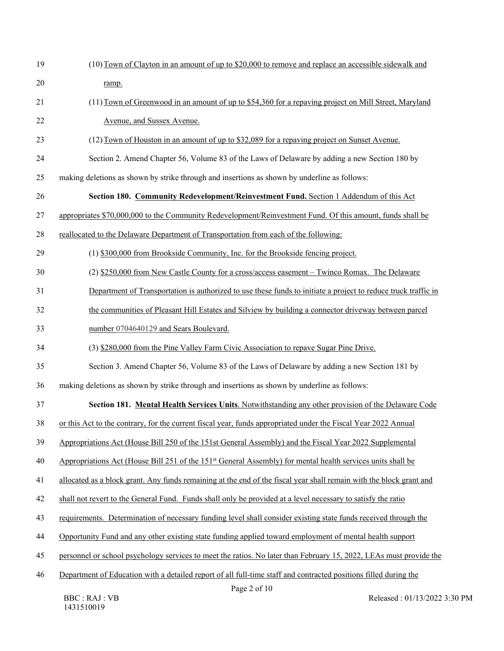| 19     | (10) Town of Clayton in an amount of up to \$20,000 to remove and replace an accessible sidewalk and                                                                       |
|--------|----------------------------------------------------------------------------------------------------------------------------------------------------------------------------|
| 20     | ramp.                                                                                                                                                                      |
| 21     | (11) Town of Greenwood in an amount of up to \$54,360 for a repaying project on Mill Street, Maryland                                                                      |
| 22     | Avenue, and Sussex Avenue.                                                                                                                                                 |
| 23     | (12) Town of Houston in an amount of up to \$32,089 for a repaying project on Sunset Avenue.                                                                               |
| 24     | Section 2. Amend Chapter 56, Volume 83 of the Laws of Delaware by adding a new Section 180 by                                                                              |
| 25     | making deletions as shown by strike through and insertions as shown by underline as follows:                                                                               |
| 26     | Section 180. Community Redevelopment/Reinvestment Fund. Section 1 Addendum of this Act                                                                                     |
| $27\,$ | appropriates \$70,000,000 to the Community Redevelopment/Reinvestment Fund. Of this amount, funds shall be                                                                 |
| 28     | reallocated to the Delaware Department of Transportation from each of the following:                                                                                       |
| 29     | (1) \$300,000 from Brookside Community, Inc. for the Brookside fencing project.                                                                                            |
| 30     | (2) \$250,000 from New Castle County for a cross/access easement - Twinco Romax. The Delaware                                                                              |
| 31     | Department of Transportation is authorized to use these funds to initiate a project to reduce truck traffic in                                                             |
| 32     | the communities of Pleasant Hill Estates and Silview by building a connector driveway between parcel                                                                       |
| 33     | number 0704640129 and Sears Boulevard.                                                                                                                                     |
| 34     | (3) \$280,000 from the Pine Valley Farm Civic Association to repave Sugar Pine Drive.                                                                                      |
| 35     | Section 3. Amend Chapter 56, Volume 83 of the Laws of Delaware by adding a new Section 181 by                                                                              |
| 36     | making deletions as shown by strike through and insertions as shown by underline as follows:                                                                               |
| 37     | Section 181. Mental Health Services Units. Notwithstanding any other provision of the Delaware Code                                                                        |
| 38     | or this Act to the contrary, for the current fiscal year, funds appropriated under the Fiscal Year 2022 Annual                                                             |
| 39     | Appropriations Act (House Bill 250 of the 151st General Assembly) and the Fiscal Year 2022 Supplemental                                                                    |
| 40     | Appropriations Act (House Bill 251 of the 151 <sup>st</sup> General Assembly) for mental health services units shall be                                                    |
| 41     | allocated as a block grant. Any funds remaining at the end of the fiscal year shall remain with the block grant and                                                        |
| 42     | shall not revert to the General Fund. Funds shall only be provided at a level necessary to satisfy the ratio                                                               |
| 43     | requirements. Determination of necessary funding level shall consider existing state funds received through the                                                            |
| 44     | Opportunity Fund and any other existing state funding applied toward employment of mental health support                                                                   |
| 45     | personnel or school psychology services to meet the ratios. No later than February 15, 2022, LEAs must provide the                                                         |
| 46     | Department of Education with a detailed report of all full-time staff and contracted positions filled during the<br>$D_{0}$ $\alpha$ <sup>2</sup> $\alpha$ <sup>f</sup> 10 |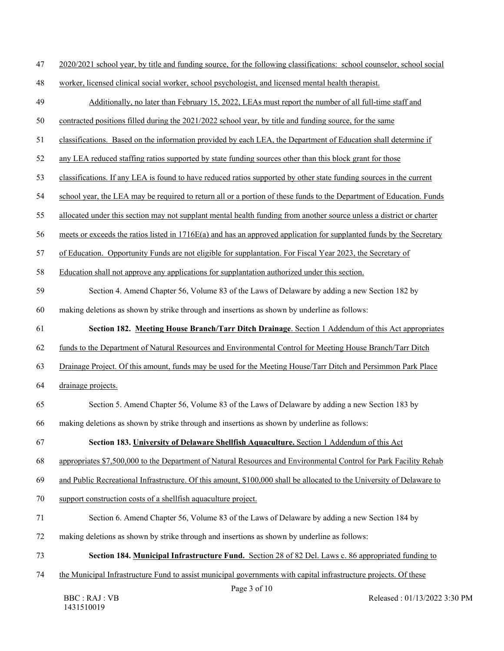| 2020/2021 school year, by title and funding source, for the following classifications: school counselor, school social |
|------------------------------------------------------------------------------------------------------------------------|
|------------------------------------------------------------------------------------------------------------------------|

48 worker, licensed clinical social worker, school psychologist, and licensed mental health therapist.

| 49 | Additionally, no later than February 15, 2022, LEAs must report the number of all full-time staff and                 |
|----|-----------------------------------------------------------------------------------------------------------------------|
| 50 | contracted positions filled during the 2021/2022 school year, by title and funding source, for the same               |
| 51 | classifications. Based on the information provided by each LEA, the Department of Education shall determine if        |
| 52 | any LEA reduced staffing ratios supported by state funding sources other than this block grant for those              |
| 53 | classifications. If any LEA is found to have reduced ratios supported by other state funding sources in the current   |
| 54 | school year, the LEA may be required to return all or a portion of these funds to the Department of Education. Funds  |
| 55 | allocated under this section may not supplant mental health funding from another source unless a district or charter  |
| 56 | meets or exceeds the ratios listed in 1716E(a) and has an approved application for supplanted funds by the Secretary  |
| 57 | of Education. Opportunity Funds are not eligible for supplantation. For Fiscal Year 2023, the Secretary of            |
| 58 | Education shall not approve any applications for supplantation authorized under this section.                         |
| 59 | Section 4. Amend Chapter 56, Volume 83 of the Laws of Delaware by adding a new Section 182 by                         |
| 60 | making deletions as shown by strike through and insertions as shown by underline as follows:                          |
| 61 | Section 182. Meeting House Branch/Tarr Ditch Drainage. Section 1 Addendum of this Act appropriates                    |
| 62 | funds to the Department of Natural Resources and Environmental Control for Meeting House Branch/Tarr Ditch            |
| 63 | Drainage Project. Of this amount, funds may be used for the Meeting House/Tarr Ditch and Persimmon Park Place         |
| 64 | drainage projects.                                                                                                    |
| 65 | Section 5. Amend Chapter 56, Volume 83 of the Laws of Delaware by adding a new Section 183 by                         |
| 66 | making deletions as shown by strike through and insertions as shown by underline as follows:                          |
| 67 | Section 183. University of Delaware Shellfish Aquaculture. Section 1 Addendum of this Act                             |
| 68 | appropriates \$7,500,000 to the Department of Natural Resources and Environmental Control for Park Facility Rehab     |
| 69 | and Public Recreational Infrastructure. Of this amount, \$100,000 shall be allocated to the University of Delaware to |
| 70 | support construction costs of a shellfish aquaculture project.                                                        |
| 71 | Section 6. Amend Chapter 56, Volume 83 of the Laws of Delaware by adding a new Section 184 by                         |
| 72 | making deletions as shown by strike through and insertions as shown by underline as follows:                          |
| 73 | Section 184. Municipal Infrastructure Fund. Section 28 of 82 Del. Laws c. 86 appropriated funding to                  |
| 74 | the Municipal Infrastructure Fund to assist municipal governments with capital infrastructure projects. Of these      |
|    | Page 3 of 10<br><b>BBC: RAJ: VB</b><br>Released: 01/13/2022 3:30 PM                                                   |

1431510019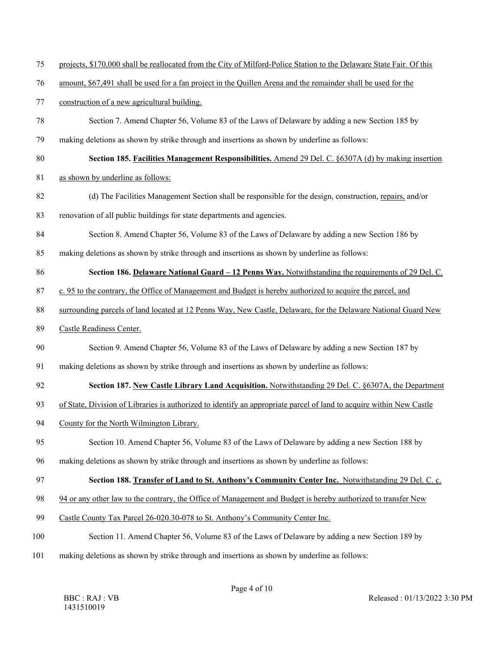- 75 projects, \$170,000 shall be reallocated from the City of Milford-Police Station to the Delaware State Fair. Of this
- 76 amount, \$67,491 shall be used for a fan project in the Quillen Arena and the remainder shall be used for the

77 construction of a new agricultural building.

- 78 Section 7. Amend Chapter 56, Volume 83 of the Laws of Delaware by adding a new Section 185 by
- 79 making deletions as shown by strike through and insertions as shown by underline as follows:
- 80 **Section 185. Facilities Management Responsibilities.** Amend 29 Del. C. §6307A (d) by making insertion
- 81 as shown by underline as follows:
- 82 (d) The Facilities Management Section shall be responsible for the design, construction, repairs, and/or
- 83 renovation of all public buildings for state departments and agencies.
- 84 Section 8. Amend Chapter 56, Volume 83 of the Laws of Delaware by adding a new Section 186 by
- 85 making deletions as shown by strike through and insertions as shown by underline as follows:
- 86 **Section 186. Delaware National Guard 12 Penns Way.** Notwithstanding the requirements of 29 Del. C.
- 87 c. 95 to the contrary, the Office of Management and Budget is hereby authorized to acquire the parcel, and
- 88 surrounding parcels of land located at 12 Penns Way, New Castle, Delaware, for the Delaware National Guard New
- 89 Castle Readiness Center.
- 90 Section 9. Amend Chapter 56, Volume 83 of the Laws of Delaware by adding a new Section 187 by
- 91 making deletions as shown by strike through and insertions as shown by underline as follows:
- 92 **Section 187. New Castle Library Land Acquisition.** Notwithstanding 29 Del. C. §6307A, the Department
- 93 of State, Division of Libraries is authorized to identify an appropriate parcel of land to acquire within New Castle
- 94 County for the North Wilmington Library.
- 95 Section 10. Amend Chapter 56, Volume 83 of the Laws of Delaware by adding a new Section 188 by
- 96 making deletions as shown by strike through and insertions as shown by underline as follows:

#### 97 **Section 188. Transfer of Land to St. Anthony's Community Center Inc.** Notwithstanding 29 Del. C. c.

- 98 94 or any other law to the contrary, the Office of Management and Budget is hereby authorized to transfer New
- 99 Castle County Tax Parcel 26-020.30-078 to St. Anthony's Community Center Inc.
- 100 Section 11. Amend Chapter 56, Volume 83 of the Laws of Delaware by adding a new Section 189 by
- 101 making deletions as shown by strike through and insertions as shown by underline as follows: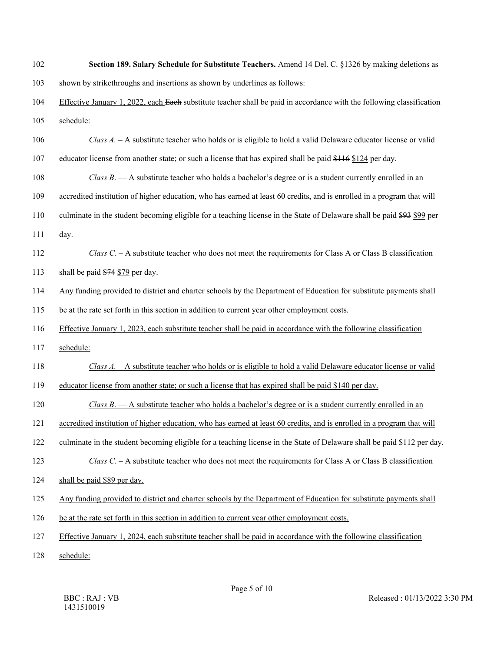| 102 | Section 189. Salary Schedule for Substitute Teachers. Amend 14 Del. C. §1326 by making deletions as                     |
|-----|-------------------------------------------------------------------------------------------------------------------------|
| 103 | shown by strikethroughs and insertions as shown by underlines as follows:                                               |
| 104 | Effective January 1, 2022, each Each substitute teacher shall be paid in accordance with the following classification   |
| 105 | schedule:                                                                                                               |
| 106 | Class A. - A substitute teacher who holds or is eligible to hold a valid Delaware educator license or valid             |
| 107 | educator license from another state; or such a license that has expired shall be paid \$116 \$124 per day.              |
| 108 | Class $B$ . $\rightarrow$ A substitute teacher who holds a bachelor's degree or is a student currently enrolled in an   |
| 109 | accredited institution of higher education, who has earned at least 60 credits, and is enrolled in a program that will  |
| 110 | culminate in the student becoming eligible for a teaching license in the State of Delaware shall be paid \$93 \$99 per  |
| 111 | day.                                                                                                                    |
| 112 | Class C. $-$ A substitute teacher who does not meet the requirements for Class A or Class B classification              |
| 113 | shall be paid \$74 \$79 per day.                                                                                        |
| 114 | Any funding provided to district and charter schools by the Department of Education for substitute payments shall       |
| 115 | be at the rate set forth in this section in addition to current year other employment costs.                            |
| 116 | Effective January 1, 2023, each substitute teacher shall be paid in accordance with the following classification        |
| 117 | schedule:                                                                                                               |
| 118 | Class A. - A substitute teacher who holds or is eligible to hold a valid Delaware educator license or valid             |
| 119 | educator license from another state; or such a license that has expired shall be paid \$140 per day.                    |
| 120 | <i>Class B.</i> $-$ A substitute teacher who holds a bachelor's degree or is a student currently enrolled in an         |
| 121 | accredited institution of higher education, who has earned at least 60 credits, and is enrolled in a program that will  |
| 122 | culminate in the student becoming eligible for a teaching license in the State of Delaware shall be paid \$112 per day. |
| 123 | Class C. $-$ A substitute teacher who does not meet the requirements for Class A or Class B classification              |
| 124 | shall be paid \$89 per day.                                                                                             |
| 125 | Any funding provided to district and charter schools by the Department of Education for substitute payments shall       |
| 126 | be at the rate set forth in this section in addition to current year other employment costs.                            |
| 127 | Effective January 1, 2024, each substitute teacher shall be paid in accordance with the following classification        |
| 128 | schedule:                                                                                                               |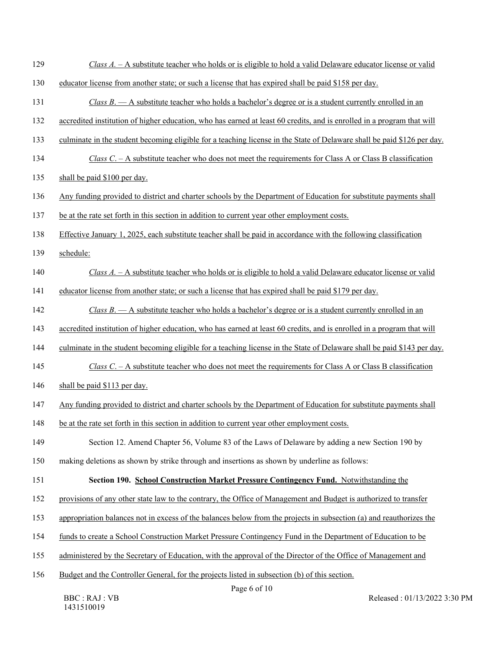| Class A. - A substitute teacher who holds or is eligible to hold a valid Delaware educator license or valid             |
|-------------------------------------------------------------------------------------------------------------------------|
| educator license from another state; or such a license that has expired shall be paid \$158 per day.                    |
| Class $B$ . $\overline{A}$ substitute teacher who holds a bachelor's degree or is a student currently enrolled in an    |
| accredited institution of higher education, who has earned at least 60 credits, and is enrolled in a program that will  |
| culminate in the student becoming eligible for a teaching license in the State of Delaware shall be paid \$126 per day. |
| Class C. $-$ A substitute teacher who does not meet the requirements for Class A or Class B classification              |
| shall be paid \$100 per day.                                                                                            |
| Any funding provided to district and charter schools by the Department of Education for substitute payments shall       |
| be at the rate set forth in this section in addition to current year other employment costs.                            |
| Effective January 1, 2025, each substitute teacher shall be paid in accordance with the following classification        |
| schedule:                                                                                                               |
| Class A. – A substitute teacher who holds or is eligible to hold a valid Delaware educator license or valid             |
| educator license from another state; or such a license that has expired shall be paid \$179 per day.                    |
| Class $B$ . — A substitute teacher who holds a bachelor's degree or is a student currently enrolled in an               |
| accredited institution of higher education, who has earned at least 60 credits, and is enrolled in a program that will  |
| culminate in the student becoming eligible for a teaching license in the State of Delaware shall be paid \$143 per day. |
| Class C. $-$ A substitute teacher who does not meet the requirements for Class A or Class B classification              |
| shall be paid \$113 per day.                                                                                            |
| Any funding provided to district and charter schools by the Department of Education for substitute payments shall       |
| be at the rate set forth in this section in addition to current year other employment costs.                            |
| Section 12. Amend Chapter 56, Volume 83 of the Laws of Delaware by adding a new Section 190 by                          |
| making deletions as shown by strike through and insertions as shown by underline as follows:                            |
| Section 190. School Construction Market Pressure Contingency Fund. Notwithstanding the                                  |
| provisions of any other state law to the contrary, the Office of Management and Budget is authorized to transfer        |
| appropriation balances not in excess of the balances below from the projects in subsection (a) and reauthorizes the     |
| funds to create a School Construction Market Pressure Contingency Fund in the Department of Education to be             |
| administered by the Secretary of Education, with the approval of the Director of the Office of Management and           |
| Budget and the Controller General, for the projects listed in subsection (b) of this section.<br>Page 6 of 10           |
|                                                                                                                         |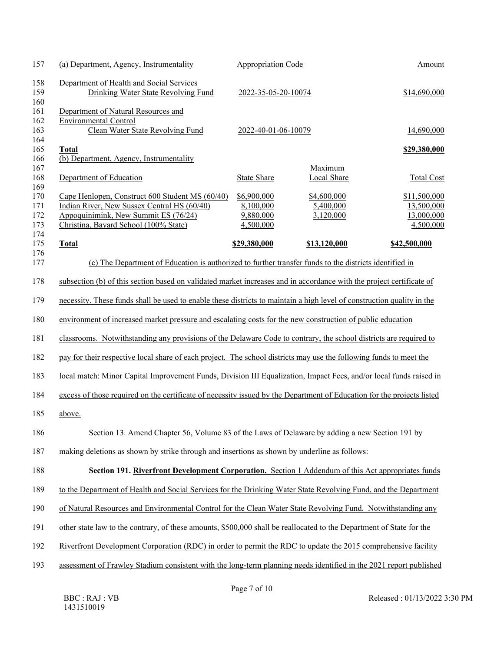| 157                             | (a) Department, Agency, Instrumentality                                                                                                                                         | <b>Appropriation Code</b>                          |                                       | Amount                                                |  |
|---------------------------------|---------------------------------------------------------------------------------------------------------------------------------------------------------------------------------|----------------------------------------------------|---------------------------------------|-------------------------------------------------------|--|
| 158<br>159<br>160               | Department of Health and Social Services<br>Drinking Water State Revolving Fund                                                                                                 | 2022-35-05-20-10074                                |                                       | \$14,690,000                                          |  |
| 161<br>162<br>163<br>164        | Department of Natural Resources and<br><b>Environmental Control</b><br>Clean Water State Revolving Fund                                                                         | 2022-40-01-06-10079                                |                                       | 14,690,000                                            |  |
| 165<br>166                      | <b>Total</b><br>(b) Department, Agency, Instrumentality                                                                                                                         |                                                    |                                       | \$29,380,000                                          |  |
| 167<br>168<br>169               | Department of Education                                                                                                                                                         | <b>State Share</b>                                 | Maximum<br>Local Share                | <b>Total Cost</b>                                     |  |
| 170<br>171<br>172<br>173<br>174 | Cape Henlopen, Construct 600 Student MS (60/40)<br>Indian River, New Sussex Central HS (60/40)<br>Appoquinimink, New Summit ES (76/24)<br>Christina, Bayard School (100% State) | \$6,900,000<br>8,100,000<br>9,880,000<br>4,500,000 | \$4,600,000<br>5,400,000<br>3,120,000 | \$11,500,000<br>13,500,000<br>13,000,000<br>4,500,000 |  |
| 175                             | <b>Total</b>                                                                                                                                                                    | \$29,380,000                                       | \$13,120,000                          | \$42,500,000                                          |  |
| 176<br>177                      | (c) The Department of Education is authorized to further transfer funds to the districts identified in                                                                          |                                                    |                                       |                                                       |  |
| 178                             | subsection (b) of this section based on validated market increases and in accordance with the project certificate of                                                            |                                                    |                                       |                                                       |  |
| 179                             | necessity. These funds shall be used to enable these districts to maintain a high level of construction quality in the                                                          |                                                    |                                       |                                                       |  |
| 180                             | environment of increased market pressure and escalating costs for the new construction of public education                                                                      |                                                    |                                       |                                                       |  |
| 181                             | classrooms. Notwithstanding any provisions of the Delaware Code to contrary, the school districts are required to                                                               |                                                    |                                       |                                                       |  |
| 182                             | pay for their respective local share of each project. The school districts may use the following funds to meet the                                                              |                                                    |                                       |                                                       |  |
| 183                             | local match: Minor Capital Improvement Funds, Division III Equalization, Impact Fees, and/or local funds raised in                                                              |                                                    |                                       |                                                       |  |
| 184                             | excess of those required on the certificate of necessity issued by the Department of Education for the projects listed                                                          |                                                    |                                       |                                                       |  |
| 185                             | above.                                                                                                                                                                          |                                                    |                                       |                                                       |  |
| 186                             | Section 13. Amend Chapter 56, Volume 83 of the Laws of Delaware by adding a new Section 191 by                                                                                  |                                                    |                                       |                                                       |  |
| 187                             | making deletions as shown by strike through and insertions as shown by underline as follows:                                                                                    |                                                    |                                       |                                                       |  |
| 188                             | Section 191. Riverfront Development Corporation. Section 1 Addendum of this Act appropriates funds                                                                              |                                                    |                                       |                                                       |  |
| 189                             | to the Department of Health and Social Services for the Drinking Water State Revolving Fund, and the Department                                                                 |                                                    |                                       |                                                       |  |
| 190                             | of Natural Resources and Environmental Control for the Clean Water State Revolving Fund. Notwithstanding any                                                                    |                                                    |                                       |                                                       |  |
| 191                             | other state law to the contrary, of these amounts, \$500,000 shall be reallocated to the Department of State for the                                                            |                                                    |                                       |                                                       |  |
| 192                             | Riverfront Development Corporation (RDC) in order to permit the RDC to update the 2015 comprehensive facility                                                                   |                                                    |                                       |                                                       |  |
| 193                             | assessment of Frawley Stadium consistent with the long-term planning needs identified in the 2021 report published                                                              |                                                    |                                       |                                                       |  |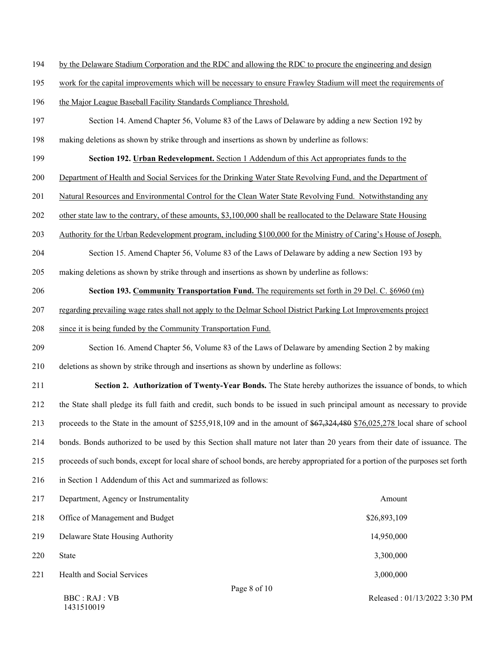- 194 by the Delaware Stadium Corporation and the RDC and allowing the RDC to procure the engineering and design
- 195 work for the capital improvements which will be necessary to ensure Frawley Stadium will meet the requirements of
- 196 the Major League Baseball Facility Standards Compliance Threshold.
- 197 Section 14. Amend Chapter 56, Volume 83 of the Laws of Delaware by adding a new Section 192 by
- 198 making deletions as shown by strike through and insertions as shown by underline as follows:
- 199 **Section 192. Urban Redevelopment.** Section 1 Addendum of this Act appropriates funds to the
- 200 Department of Health and Social Services for the Drinking Water State Revolving Fund, and the Department of
- 201 Natural Resources and Environmental Control for the Clean Water State Revolving Fund. Notwithstanding any
- 202 other state law to the contrary, of these amounts, \$3,100,000 shall be reallocated to the Delaware State Housing
- 203 Authority for the Urban Redevelopment program, including \$100,000 for the Ministry of Caring's House of Joseph.
- 204 Section 15. Amend Chapter 56, Volume 83 of the Laws of Delaware by adding a new Section 193 by
- 205 making deletions as shown by strike through and insertions as shown by underline as follows:
- 206 **Section 193. Community Transportation Fund.** The requirements set forth in 29 Del. C. §6960 (m)
- 207 regarding prevailing wage rates shall not apply to the Delmar School District Parking Lot Improvements project
- 208 since it is being funded by the Community Transportation Fund.
- 209 Section 16. Amend Chapter 56, Volume 83 of the Laws of Delaware by amending Section 2 by making
- 210 deletions as shown by strike through and insertions as shown by underline as follows:
- 211 **Section 2. Authorization of Twenty-Year Bonds.** The State hereby authorizes the issuance of bonds, to which 212 the State shall pledge its full faith and credit, such bonds to be issued in such principal amount as necessary to provide 213 proceeds to the State in the amount of \$255,918,109 and in the amount of \$67,324,480 \$76,025,278 local share of school 214 bonds. Bonds authorized to be used by this Section shall mature not later than 20 years from their date of issuance. The 215 proceeds of such bonds, except for local share of school bonds, are hereby appropriated for a portion of the purposes set forth 216 in Section 1 Addendum of this Act and summarized as follows:

| 217 | Department, Agency or Instrumentality  | Amount       |  |
|-----|----------------------------------------|--------------|--|
| 218 | Office of Management and Budget        | \$26,893,109 |  |
| 219 | Delaware State Housing Authority       | 14,950,000   |  |
| 220 | <b>State</b>                           | 3,300,000    |  |
| 221 | <b>Health and Social Services</b>      | 3,000,000    |  |
|     | $\mathbf{D}$ $\mathbf{A}$ $\mathbf{A}$ |              |  |

BBC : RAJ : VB 1431510019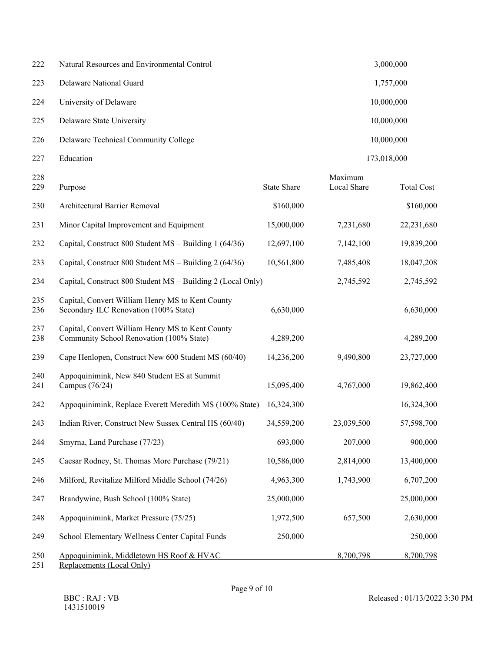| 222 | Natural Resources and Environmental Control | 3,000,000   |
|-----|---------------------------------------------|-------------|
| 223 | Delaware National Guard                     | 1,757,000   |
| 224 | University of Delaware                      | 10,000,000  |
| 225 | Delaware State University                   | 10,000,000  |
| 226 | Delaware Technical Community College        | 10,000,000  |
| 227 | Education                                   | 173,018,000 |

| 228<br>229 | Purpose                                                                                         | <b>State Share</b> | Maximum<br><b>Local Share</b> | <b>Total Cost</b> |
|------------|-------------------------------------------------------------------------------------------------|--------------------|-------------------------------|-------------------|
| 230        | Architectural Barrier Removal                                                                   | \$160,000          |                               | \$160,000         |
| 231        | Minor Capital Improvement and Equipment                                                         | 15,000,000         | 7,231,680                     | 22,231,680        |
| 232        | Capital, Construct 800 Student MS - Building 1 (64/36)                                          | 12,697,100         | 7,142,100                     | 19,839,200        |
| 233        | Capital, Construct 800 Student MS - Building 2 (64/36)                                          | 10,561,800         | 7,485,408                     | 18,047,208        |
| 234        | Capital, Construct 800 Student MS – Building 2 (Local Only)                                     |                    | 2,745,592                     | 2,745,592         |
| 235<br>236 | Capital, Convert William Henry MS to Kent County<br>Secondary ILC Renovation (100% State)       | 6,630,000          |                               | 6,630,000         |
| 237<br>238 | Capital, Convert William Henry MS to Kent County<br>Community School Renovation (100% State)    | 4,289,200          |                               | 4,289,200         |
| 239        | Cape Henlopen, Construct New 600 Student MS (60/40)                                             | 14,236,200         | 9,490,800                     | 23,727,000        |
| 240<br>241 | Appoquinimink, New 840 Student ES at Summit<br>Campus (76/24)                                   | 15,095,400         | 4,767,000                     | 19,862,400        |
| 242        | Appoquinimink, Replace Everett Meredith MS (100% State)                                         | 16,324,300         |                               | 16,324,300        |
| 243        | Indian River, Construct New Sussex Central HS (60/40)                                           | 34,559,200         | 23,039,500                    | 57,598,700        |
| 244        | Smyrna, Land Purchase (77/23)                                                                   | 693,000            | 207,000                       | 900,000           |
| 245        | Caesar Rodney, St. Thomas More Purchase (79/21)                                                 | 10,586,000         | 2,814,000                     | 13,400,000        |
| 246        | Milford, Revitalize Milford Middle School (74/26)                                               | 4,963,300          | 1,743,900                     | 6,707,200         |
| 247        | Brandywine, Bush School (100% State)                                                            | 25,000,000         |                               | 25,000,000        |
| 248        | Appoquinimink, Market Pressure (75/25)                                                          | 1,972,500          | 657,500                       | 2,630,000         |
| 249        | School Elementary Wellness Center Capital Funds                                                 | 250,000            |                               | 250,000           |
| 250<br>251 | Appoquinimink, Middletown HS Roof & HVAC<br>$D$ and accoments $(I_{\alpha}$ and $(\text{Iniv})$ |                    | 8,700,798                     | 8,700,798         |
|            |                                                                                                 |                    |                               |                   |

251 Replacements (Local Only)